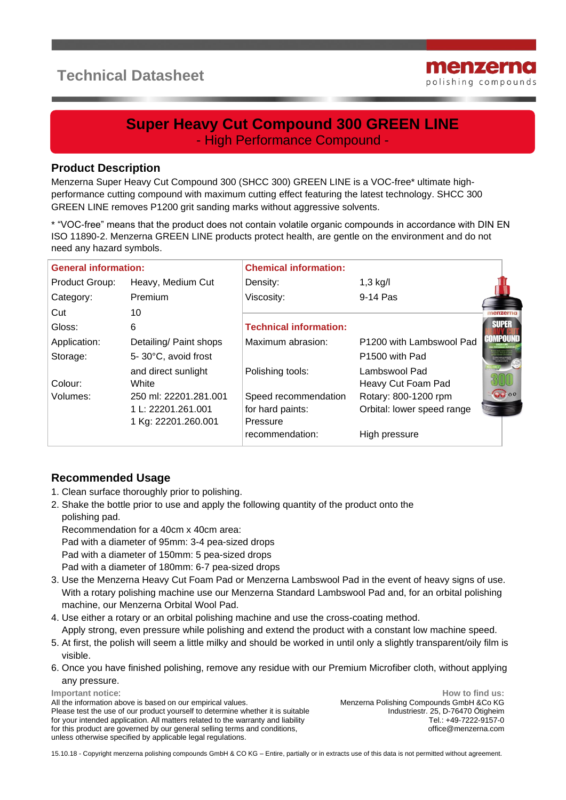# **Technical Datasheet**



## **Super Heavy Cut Compound 300 GREEN LINE** - High Performance Compound -

#### **Product Description**

Menzerna Super Heavy Cut Compound 300 (SHCC 300) GREEN LINE is a VOC-free\* ultimate highperformance cutting compound with maximum cutting effect featuring the latest technology. SHCC 300 GREEN LINE removes P1200 grit sanding marks without aggressive solvents.

\* "VOC-free" means that the product does not contain volatile organic compounds in accordance with DIN EN ISO 11890-2. Menzerna GREEN LINE products protect health, are gentle on the environment and do not need any hazard symbols.

| <b>General information:</b> |                                     | <b>Chemical information:</b>  |                                     |                |  |
|-----------------------------|-------------------------------------|-------------------------------|-------------------------------------|----------------|--|
| Product Group:              | Heavy, Medium Cut                   | Density:                      | $1,3$ kg/l                          |                |  |
| Category:                   | Premium                             | Viscosity:                    | 9-14 Pas                            |                |  |
| Cut                         | 10                                  |                               |                                     |                |  |
| Gloss:                      | 6                                   | <b>Technical information:</b> |                                     | <b>SUPER</b>   |  |
| Application:                | Detailing/ Paint shops              | Maximum abrasion:             | P1200 with Lambswool Pad            | <b>COMPOUN</b> |  |
| Storage:                    | 5-30°C, avoid frost                 |                               | P <sub>1500</sub> with Pad          |                |  |
| Colour:                     | and direct sunlight<br><b>White</b> | Polishing tools:              | Lambswool Pad<br>Heavy Cut Foam Pad |                |  |
| Volumes:                    | 250 ml: 22201.281.001               | Speed recommendation          | Rotary: 800-1200 rpm                | 0000           |  |
|                             | 1 L: 22201.261.001                  | for hard paints:              | Orbital: lower speed range          |                |  |
|                             | 1 Kg: 22201.260.001                 | Pressure                      |                                     |                |  |
|                             |                                     | recommendation:               | High pressure                       |                |  |

### **Recommended Usage**

- 1. Clean surface thoroughly prior to polishing.
- 2. Shake the bottle prior to use and apply the following quantity of the product onto the polishing pad.

 Recommendation for a 40cm x 40cm area: Pad with a diameter of 95mm: 3-4 pea-sized drops Pad with a diameter of 150mm: 5 pea-sized drops Pad with a diameter of 180mm: 6-7 pea-sized drops

- 3. Use the Menzerna Heavy Cut Foam Pad or Menzerna Lambswool Pad in the event of heavy signs of use. With a rotary polishing machine use our Menzerna Standard Lambswool Pad and, for an orbital polishing machine, our Menzerna Orbital Wool Pad.
- 4. Use either a rotary or an orbital polishing machine and use the cross-coating method. Apply strong, even pressure while polishing and extend the product with a constant low machine speed.
- 5. At first, the polish will seem a little milky and should be worked in until only a slightly transparent/oily film is visible.
- 6. Once you have finished polishing, remove any residue with our Premium Microfiber cloth, without applying any pressure.

**Important notice**:

All the information above is based on our empirical values. Please test the use of our product yourself to determine whether it is suitable for your intended application. All matters related to the warranty and liability for this product are governed by our general selling terms and conditions, unless otherwise specified by applicable legal regulations.

**How to find us:** Menzerna Polishing Compounds GmbH &Co KG Industriestr. 25, D-76470 Ötigheim Tel.: +49-7222-9157-0 office@menzerna.com

15.10.18 - Copyright menzerna polishing compounds GmbH & CO KG – Entire, partially or in extracts use of this data is not permitted without agreement.